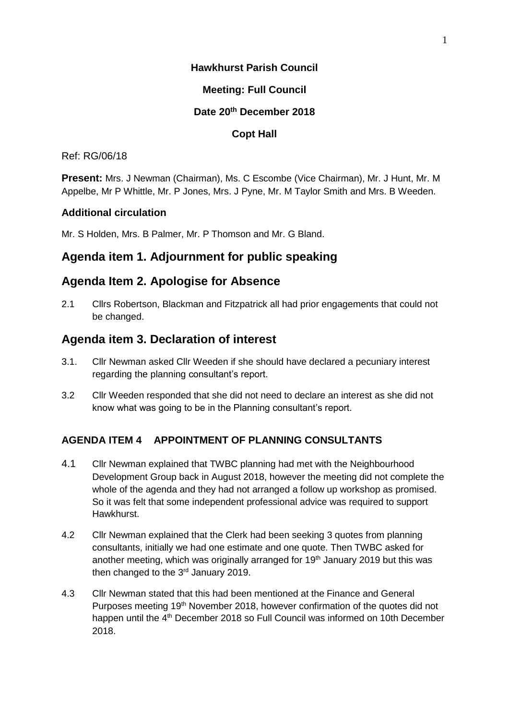### **Hawkhurst Parish Council**

### **Meeting: Full Council**

#### **Date 20 th December 2018**

### **Copt Hall**

#### Ref: RG/06/18

**Present:** Mrs. J Newman (Chairman), Ms. C Escombe (Vice Chairman), Mr. J Hunt, Mr. M Appelbe, Mr P Whittle, Mr. P Jones, Mrs. J Pyne, Mr. M Taylor Smith and Mrs. B Weeden.

### **Additional circulation**

Mr. S Holden, Mrs. B Palmer, Mr. P Thomson and Mr. G Bland.

# **Agenda item 1. Adjournment for public speaking**

# **Agenda Item 2. Apologise for Absence**

2.1 Cllrs Robertson, Blackman and Fitzpatrick all had prior engagements that could not be changed.

# **Agenda item 3. Declaration of interest**

- 3.1. Cllr Newman asked Cllr Weeden if she should have declared a pecuniary interest regarding the planning consultant's report.
- 3.2 Cllr Weeden responded that she did not need to declare an interest as she did not know what was going to be in the Planning consultant's report.

### **AGENDA ITEM 4 APPOINTMENT OF PLANNING CONSULTANTS**

- 4.1 Cllr Newman explained that TWBC planning had met with the Neighbourhood Development Group back in August 2018, however the meeting did not complete the whole of the agenda and they had not arranged a follow up workshop as promised. So it was felt that some independent professional advice was required to support Hawkhurst.
- 4.2 Cllr Newman explained that the Clerk had been seeking 3 quotes from planning consultants, initially we had one estimate and one quote. Then TWBC asked for another meeting, which was originally arranged for 19<sup>th</sup> January 2019 but this was then changed to the  $3<sup>rd</sup>$  January 2019.
- 4.3 Cllr Newman stated that this had been mentioned at the Finance and General Purposes meeting 19<sup>th</sup> November 2018, however confirmation of the quotes did not happen until the 4<sup>th</sup> December 2018 so Full Council was informed on 10th December 2018.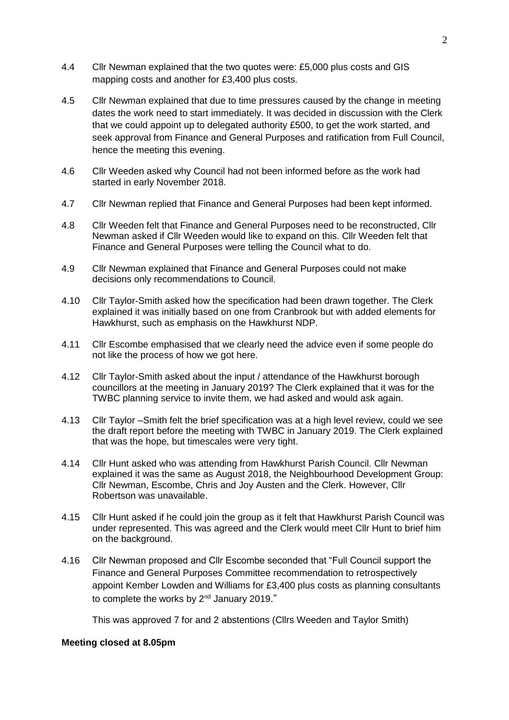- 4.4 Cllr Newman explained that the two quotes were: £5,000 plus costs and GIS mapping costs and another for £3,400 plus costs.
- 4.5 Cllr Newman explained that due to time pressures caused by the change in meeting dates the work need to start immediately. It was decided in discussion with the Clerk that we could appoint up to delegated authority £500, to get the work started, and seek approval from Finance and General Purposes and ratification from Full Council, hence the meeting this evening.
- 4.6 Cllr Weeden asked why Council had not been informed before as the work had started in early November 2018.
- 4.7 Cllr Newman replied that Finance and General Purposes had been kept informed.
- 4.8 Cllr Weeden felt that Finance and General Purposes need to be reconstructed, Cllr Newman asked if Cllr Weeden would like to expand on this. Cllr Weeden felt that Finance and General Purposes were telling the Council what to do.
- 4.9 Cllr Newman explained that Finance and General Purposes could not make decisions only recommendations to Council.
- 4.10 Cllr Taylor-Smith asked how the specification had been drawn together. The Clerk explained it was initially based on one from Cranbrook but with added elements for Hawkhurst, such as emphasis on the Hawkhurst NDP.
- 4.11 Cllr Escombe emphasised that we clearly need the advice even if some people do not like the process of how we got here.
- 4.12 Cllr Taylor-Smith asked about the input / attendance of the Hawkhurst borough councillors at the meeting in January 2019? The Clerk explained that it was for the TWBC planning service to invite them, we had asked and would ask again.
- 4.13 Cllr Taylor –Smith felt the brief specification was at a high level review, could we see the draft report before the meeting with TWBC in January 2019. The Clerk explained that was the hope, but timescales were very tight.
- 4.14 Cllr Hunt asked who was attending from Hawkhurst Parish Council. Cllr Newman explained it was the same as August 2018, the Neighbourhood Development Group: Cllr Newman, Escombe, Chris and Joy Austen and the Clerk. However, Cllr Robertson was unavailable.
- 4.15 Cllr Hunt asked if he could join the group as it felt that Hawkhurst Parish Council was under represented. This was agreed and the Clerk would meet Cllr Hunt to brief him on the background.
- 4.16 Cllr Newman proposed and Cllr Escombe seconded that "Full Council support the Finance and General Purposes Committee recommendation to retrospectively appoint Kember Lowden and Williams for £3,400 plus costs as planning consultants to complete the works by 2<sup>nd</sup> January 2019."

This was approved 7 for and 2 abstentions (Cllrs Weeden and Taylor Smith)

#### **Meeting closed at 8.05pm**